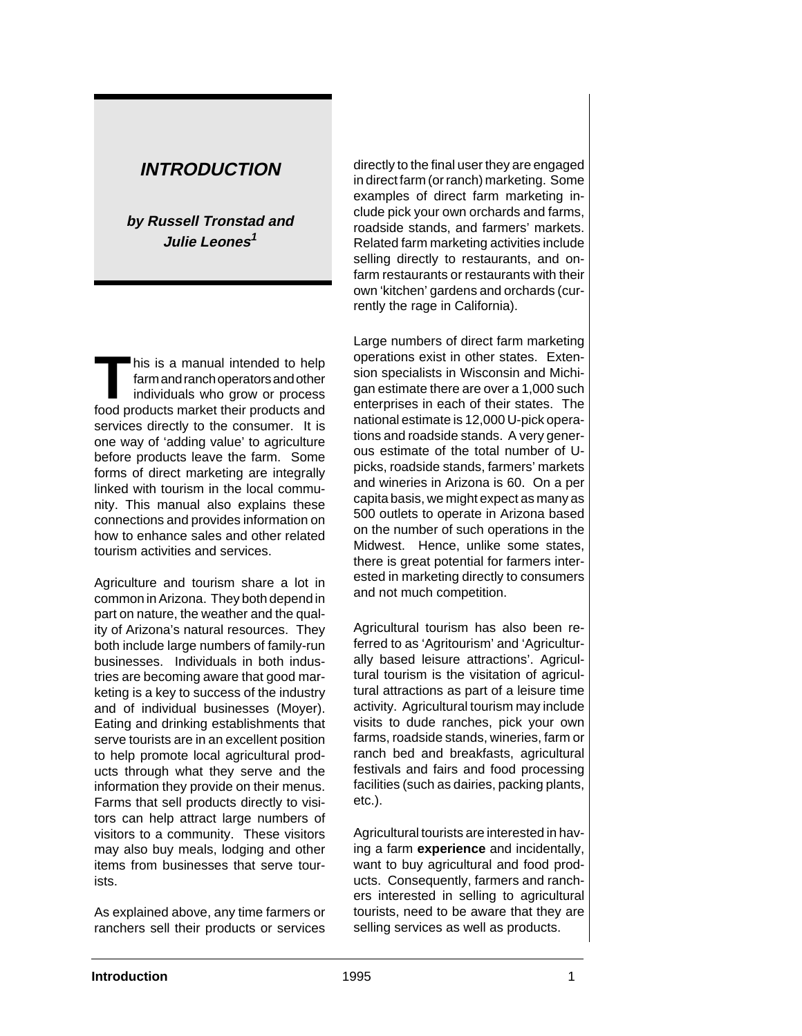# **INTRODUCTION**

**by Russell Tronstad and Julie Leones<sup>1</sup>**

THE THIS IS a manual intended to help<br>
farm and ranch operators and other<br>
individuals who grow or process farm and ranch operators and other food products market their products and services directly to the consumer. It is one way of 'adding value' to agriculture before products leave the farm. Some forms of direct marketing are integrally linked with tourism in the local community. This manual also explains these connections and provides information on how to enhance sales and other related tourism activities and services.

Agriculture and tourism share a lot in common in Arizona. They both depend in part on nature, the weather and the quality of Arizona's natural resources. They both include large numbers of family-run businesses. Individuals in both industries are becoming aware that good marketing is a key to success of the industry and of individual businesses (Moyer). Eating and drinking establishments that serve tourists are in an excellent position to help promote local agricultural products through what they serve and the information they provide on their menus. Farms that sell products directly to visitors can help attract large numbers of visitors to a community. These visitors may also buy meals, lodging and other items from businesses that serve tourists.

As explained above, any time farmers or ranchers sell their products or services

directly to the final user they are engaged in direct farm (or ranch) marketing. Some examples of direct farm marketing include pick your own orchards and farms, roadside stands, and farmers' markets. Related farm marketing activities include selling directly to restaurants, and onfarm restaurants or restaurants with their own 'kitchen' gardens and orchards (currently the rage in California).

Large numbers of direct farm marketing operations exist in other states. Extension specialists in Wisconsin and Michigan estimate there are over a 1,000 such enterprises in each of their states. The national estimate is 12,000 U-pick operations and roadside stands. A very generous estimate of the total number of Upicks, roadside stands, farmers' markets and wineries in Arizona is 60. On a per capita basis, we might expect as many as 500 outlets to operate in Arizona based on the number of such operations in the Midwest. Hence, unlike some states, there is great potential for farmers interested in marketing directly to consumers and not much competition.

Agricultural tourism has also been referred to as 'Agritourism' and 'Agriculturally based leisure attractions'. Agricultural tourism is the visitation of agricultural attractions as part of a leisure time activity. Agricultural tourism may include visits to dude ranches, pick your own farms, roadside stands, wineries, farm or ranch bed and breakfasts, agricultural festivals and fairs and food processing facilities (such as dairies, packing plants, etc.).

Agricultural tourists are interested in having a farm **experience** and incidentally, want to buy agricultural and food products. Consequently, farmers and ranchers interested in selling to agricultural tourists, need to be aware that they are selling services as well as products.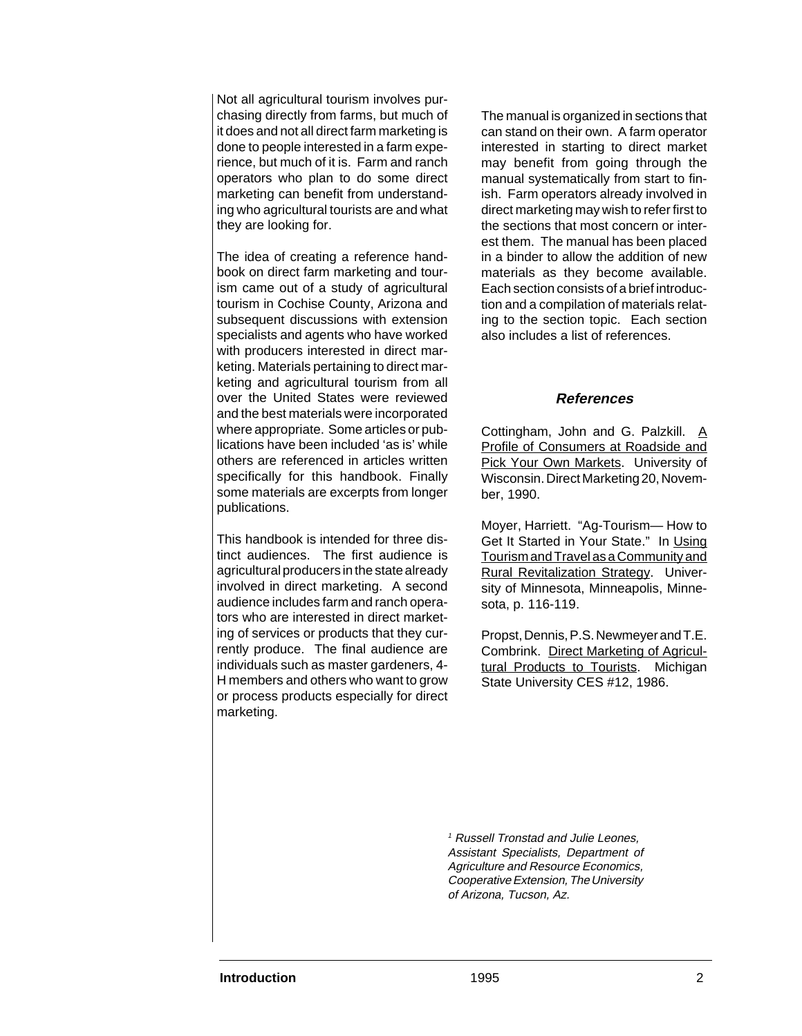Not all agricultural tourism involves purchasing directly from farms, but much of it does and not all direct farm marketing is done to people interested in a farm experience, but much of it is. Farm and ranch operators who plan to do some direct marketing can benefit from understanding who agricultural tourists are and what they are looking for.

The idea of creating a reference handbook on direct farm marketing and tourism came out of a study of agricultural tourism in Cochise County, Arizona and subsequent discussions with extension specialists and agents who have worked with producers interested in direct marketing. Materials pertaining to direct marketing and agricultural tourism from all over the United States were reviewed and the best materials were incorporated where appropriate. Some articles or publications have been included 'as is' while others are referenced in articles written specifically for this handbook. Finally some materials are excerpts from longer publications.

This handbook is intended for three distinct audiences. The first audience is agricultural producers in the state already involved in direct marketing. A second audience includes farm and ranch operators who are interested in direct marketing of services or products that they currently produce. The final audience are individuals such as master gardeners, 4- H members and others who want to grow or process products especially for direct marketing.

The manual is organized in sections that can stand on their own. A farm operator interested in starting to direct market may benefit from going through the manual systematically from start to finish. Farm operators already involved in direct marketing may wish to refer first to the sections that most concern or interest them. The manual has been placed in a binder to allow the addition of new materials as they become available. Each section consists of a brief introduction and a compilation of materials relating to the section topic. Each section also includes a list of references.

#### **References**

Cottingham, John and G. Palzkill. A Profile of Consumers at Roadside and Pick Your Own Markets. University of Wisconsin. Direct Marketing 20, November, 1990.

Moyer, Harriett. "Ag-Tourism— How to Get It Started in Your State." In Using Tourism and Travel as a Community and Rural Revitalization Strategy. University of Minnesota, Minneapolis, Minnesota, p. 116-119.

Propst, Dennis, P.S. Newmeyer and T.E. Combrink. Direct Marketing of Agricultural Products to Tourists. Michigan State University CES #12, 1986.

<sup>1</sup> Russell Tronstad and Julie Leones, Assistant Specialists, Department of Agriculture and Resource Economics, Cooperative Extension, The University of Arizona, Tucson, Az.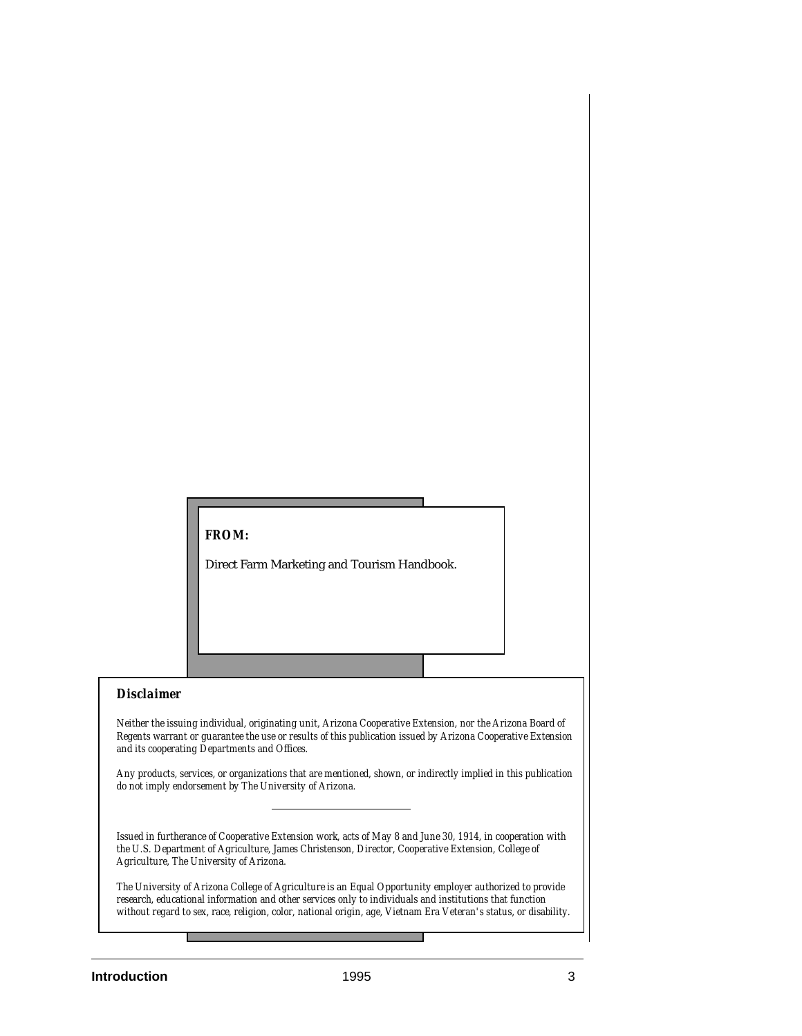### *FROM:*

Direct Farm Marketing and Tourism Handbook.

#### *Disclaimer*

*Neither the issuing individual, originating unit, Arizona Cooperative Extension, nor the Arizona Board of Regents warrant or guarantee the use or results of this publication issued by Arizona Cooperative Extension and its cooperating Departments and Offices.*

*Any products, services, or organizations that are mentioned, shown, or indirectly implied in this publication do not imply endorsement by The University of Arizona.*

*Issued in furtherance of Cooperative Extension work, acts of May 8 and June 30, 1914, in cooperation with the U.S. Department of Agriculture, James Christenson, Director, Cooperative Extension, College of Agriculture, The University of Arizona.*

*The University of Arizona College of Agriculture is an Equal Opportunity employer authorized to provide research, educational information and other services only to individuals and institutions that function without regard to sex, race, religion, color, national origin, age, Vietnam Era Veteran's status, or disability.*